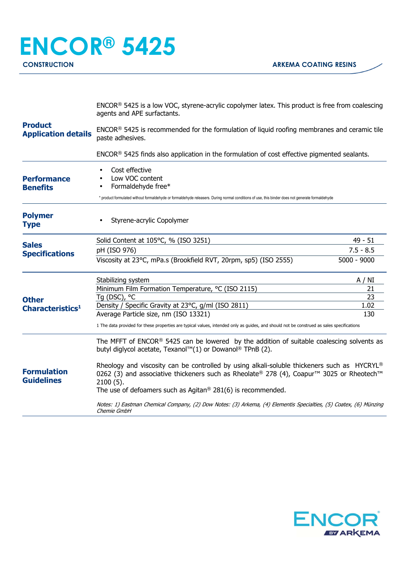| <b>Product</b><br><b>Application details</b> | ENCOR® 5425 is a low VOC, styrene-acrylic copolymer latex. This product is free from coalescing<br>agents and APE surfactants.<br>ENCOR® 5425 is recommended for the formulation of liquid roofing membranes and ceramic tile<br>paste adhesives.                                             |                                                                      |  |
|----------------------------------------------|-----------------------------------------------------------------------------------------------------------------------------------------------------------------------------------------------------------------------------------------------------------------------------------------------|----------------------------------------------------------------------|--|
|                                              |                                                                                                                                                                                                                                                                                               |                                                                      |  |
|                                              | <b>Performance</b><br><b>Benefits</b>                                                                                                                                                                                                                                                         | Cost effective<br>Low VOC content<br>Formaldehyde free*<br>$\bullet$ |  |
|                                              | * product formulated without formaldehyde or formaldehyde releasers. During normal conditions of use, this binder does not generate formaldehyde                                                                                                                                              |                                                                      |  |
| <b>Polymer</b><br><b>Type</b>                | Styrene-acrylic Copolymer                                                                                                                                                                                                                                                                     |                                                                      |  |
| <b>Sales</b><br><b>Specifications</b>        | Solid Content at 105°C, % (ISO 3251)                                                                                                                                                                                                                                                          | $49 - 51$                                                            |  |
|                                              | pH (ISO 976)                                                                                                                                                                                                                                                                                  | $7.5 - 8.5$                                                          |  |
|                                              | Viscosity at 23°C, mPa.s (Brookfield RVT, 20rpm, sp5) (ISO 2555)                                                                                                                                                                                                                              | $5000 - 9000$                                                        |  |
| <b>Other</b><br>Characteristics <sup>1</sup> | Stabilizing system                                                                                                                                                                                                                                                                            | A / NI                                                               |  |
|                                              | Minimum Film Formation Temperature, °C (ISO 2115)                                                                                                                                                                                                                                             | 21                                                                   |  |
|                                              | Tq (DSC), °C                                                                                                                                                                                                                                                                                  | 23                                                                   |  |
|                                              | Density / Specific Gravity at 23°C, g/ml (ISO 2811)                                                                                                                                                                                                                                           | 1.02                                                                 |  |
|                                              | Average Particle size, nm (ISO 13321)                                                                                                                                                                                                                                                         | 130                                                                  |  |
|                                              | 1 The data provided for these properties are typical values, intended only as guides, and should not be construed as sales specifications                                                                                                                                                     |                                                                      |  |
| <b>Formulation</b><br><b>Guidelines</b>      | The MFFT of ENCOR® 5425 can be lowered by the addition of suitable coalescing solvents as<br>butyl diglycol acetate, Texanol™(1) or Dowanol® TPnB (2).                                                                                                                                        |                                                                      |  |
|                                              | Rheology and viscosity can be controlled by using alkali-soluble thickeners such as HYCRYL®<br>0262 (3) and associative thickeners such as Rheolate® 278 (4), Coapur <sup>™</sup> 3025 or Rheotech <sup>™</sup><br>$2100(5)$ .<br>The use of defoamers such as Agitan® 281(6) is recommended. |                                                                      |  |
|                                              | Notes: 1) Eastman Chemical Company, (2) Dow Notes: (3) Arkema, (4) Elementis Specialties, (5) Coatex, (6) Münzing<br>Chemie GmbH                                                                                                                                                              |                                                                      |  |